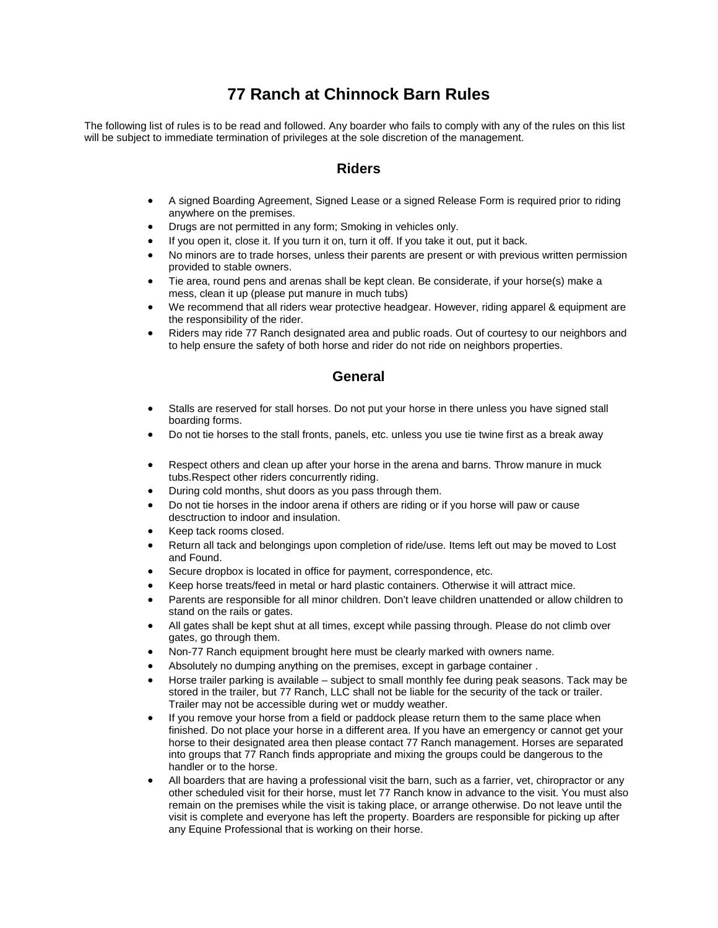## **77 Ranch at Chinnock Barn Rules**

The following list of rules is to be read and followed. Any boarder who fails to comply with any of the rules on this list will be subject to immediate termination of privileges at the sole discretion of the management.

## **Riders**

- A signed Boarding Agreement, Signed Lease or a signed Release Form is required prior to riding anywhere on the premises.
- Drugs are not permitted in any form; Smoking in vehicles only.
- If you open it, close it. If you turn it on, turn it off. If you take it out, put it back.
- No minors are to trade horses, unless their parents are present or with previous written permission provided to stable owners.
- Tie area, round pens and arenas shall be kept clean. Be considerate, if your horse(s) make a mess, clean it up (please put manure in much tubs)
- We recommend that all riders wear protective headgear. However, riding apparel & equipment are the responsibility of the rider.
- Riders may ride 77 Ranch designated area and public roads. Out of courtesy to our neighbors and to help ensure the safety of both horse and rider do not ride on neighbors properties.

## **General**

- Stalls are reserved for stall horses. Do not put your horse in there unless you have signed stall boarding forms.
- Do not tie horses to the stall fronts, panels, etc. unless you use tie twine first as a break away
- Respect others and clean up after your horse in the arena and barns. Throw manure in muck tubs.Respect other riders concurrently riding.
- During cold months, shut doors as you pass through them.
- Do not tie horses in the indoor arena if others are riding or if you horse will paw or cause desctruction to indoor and insulation.
- Keep tack rooms closed.
- Return all tack and belongings upon completion of ride/use. Items left out may be moved to Lost and Found.
- Secure dropbox is located in office for payment, correspondence, etc.
- Keep horse treats/feed in metal or hard plastic containers. Otherwise it will attract mice.
- Parents are responsible for all minor children. Don't leave children unattended or allow children to stand on the rails or gates.
- All gates shall be kept shut at all times, except while passing through. Please do not climb over gates, go through them.
- Non-77 Ranch equipment brought here must be clearly marked with owners name.
- Absolutely no dumping anything on the premises, except in garbage container.
- Horse trailer parking is available subject to small monthly fee during peak seasons. Tack may be stored in the trailer, but 77 Ranch, LLC shall not be liable for the security of the tack or trailer. Trailer may not be accessible during wet or muddy weather.
- If you remove your horse from a field or paddock please return them to the same place when finished. Do not place your horse in a different area. If you have an emergency or cannot get your horse to their designated area then please contact 77 Ranch management. Horses are separated into groups that 77 Ranch finds appropriate and mixing the groups could be dangerous to the handler or to the horse.
- All boarders that are having a professional visit the barn, such as a farrier, vet, chiropractor or any other scheduled visit for their horse, must let 77 Ranch know in advance to the visit. You must also remain on the premises while the visit is taking place, or arrange otherwise. Do not leave until the visit is complete and everyone has left the property. Boarders are responsible for picking up after any Equine Professional that is working on their horse.